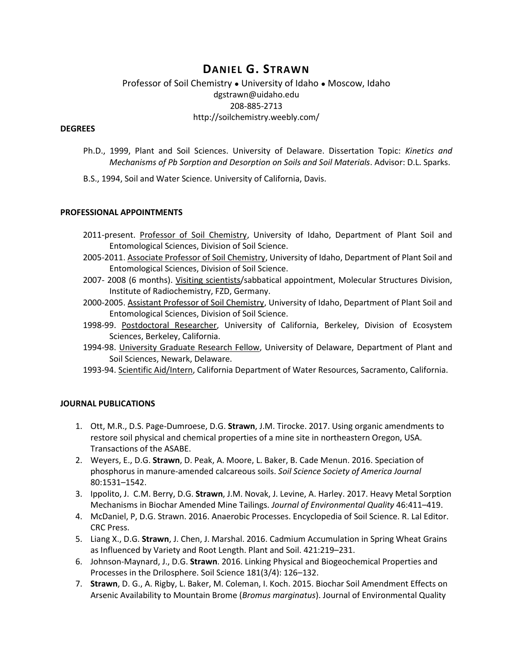# **DANIEL G. STRAWN**

## Professor of Soil Chemistry ● University of Idaho ● Moscow, Idaho dgstrawn@uidaho.edu 208-885-2713 http://soilchemistry.weebly.com/

#### **DEGREES**

- Ph.D., 1999, Plant and Soil Sciences. University of Delaware. Dissertation Topic: *Kinetics and Mechanisms of Pb Sorption and Desorption on Soils and Soil Materials*. Advisor: D.L. Sparks.
- B.S., 1994, Soil and Water Science. University of California, Davis.

#### **PROFESSIONAL APPOINTMENTS**

- 2011-present. Professor of Soil Chemistry, University of Idaho, Department of Plant Soil and Entomological Sciences, Division of Soil Science.
- 2005-2011. Associate Professor of Soil Chemistry, University of Idaho, Department of Plant Soil and Entomological Sciences, Division of Soil Science.
- 2007- 2008 (6 months). Visiting scientists/sabbatical appointment, Molecular Structures Division, Institute of Radiochemistry, FZD, Germany.
- 2000-2005. Assistant Professor of Soil Chemistry, University of Idaho, Department of Plant Soil and Entomological Sciences, Division of Soil Science.
- 1998-99. Postdoctoral Researcher, University of California, Berkeley, Division of Ecosystem Sciences, Berkeley, California.
- 1994-98. University Graduate Research Fellow, University of Delaware, Department of Plant and Soil Sciences, Newark, Delaware.
- 1993-94. Scientific Aid/Intern, California Department of Water Resources, Sacramento, California.

#### **JOURNAL PUBLICATIONS**

- 1. Ott, M.R., D.S. Page-Dumroese, D.G. **Strawn**, J.M. Tirocke. 2017. Using organic amendments to restore soil physical and chemical properties of a mine site in northeastern Oregon, USA. Transactions of the ASABE.
- 2. Weyers, E., D.G. **Strawn**, D. Peak, A. Moore, L. Baker, B. Cade Menun. 2016. Speciation of phosphorus in manure-amended calcareous soils. *Soil Science Society of America Journal* 80:1531–1542.
- 3. Ippolito, J. C.M. Berry, D.G. **Strawn**, J.M. Novak, J. Levine, A. Harley. 2017. Heavy Metal Sorption Mechanisms in Biochar Amended Mine Tailings. *Journal of Environmental Quality* 46:411–419.
- 4. McDaniel, P, D.G. Strawn. 2016. Anaerobic Processes. Encyclopedia of Soil Science. R. Lal Editor. CRC Press.
- 5. Liang X., D.G. **Strawn**, J. Chen, J. Marshal. 2016. Cadmium Accumulation in Spring Wheat Grains as Influenced by Variety and Root Length. Plant and Soil. 421:219–231.
- 6. Johnson-Maynard, J., D.G. **Strawn**. 2016. Linking Physical and Biogeochemical Properties and Processes in the Drilosphere. Soil Science 181(3/4): 126–132.
- 7. **Strawn**, D. G., A. Rigby, L. Baker, M. Coleman, I. Koch. 2015. Biochar Soil Amendment Effects on Arsenic Availability to Mountain Brome (*Bromus marginatus*). Journal of Environmental Quality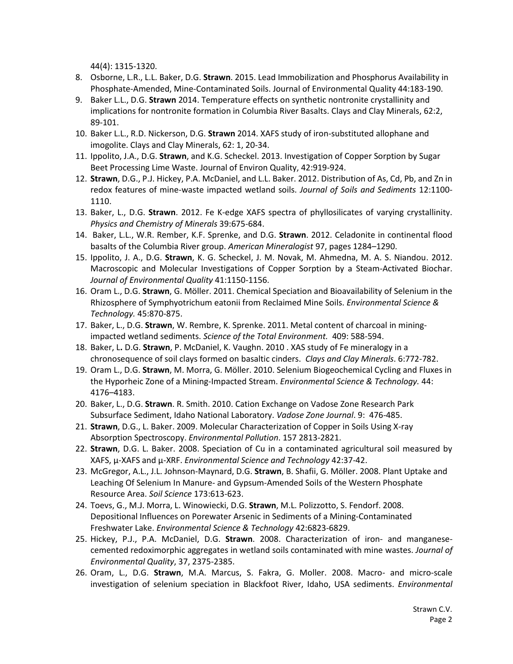44(4): 1315-1320.

- 8. Osborne, L.R., L.L. Baker, D.G. **Strawn**. 2015. Lead Immobilization and Phosphorus Availability in Phosphate-Amended, Mine-Contaminated Soils. Journal of Environmental Quality 44:183-190.
- 9. Baker L.L., D.G. **Strawn** 2014. Temperature effects on synthetic nontronite crystallinity and implications for nontronite formation in Columbia River Basalts. Clays and Clay Minerals, 62:2, 89-101.
- 10. Baker L.L., R.D. Nickerson, D.G. **Strawn** 2014. XAFS study of iron-substituted allophane and imogolite. Clays and Clay Minerals, 62: 1, 20-34.
- 11. Ippolito, J.A., D.G. **Strawn**, and K.G. Scheckel. 2013. Investigation of Copper Sorption by Sugar Beet Processing Lime Waste. Journal of Environ Quality, 42:919-924.
- 12. **Strawn**, D.G., P.J. Hickey, P.A. McDaniel, and L.L. Baker. 2012. Distribution of As, Cd, Pb, and Zn in redox features of mine-waste impacted wetland soils. *Journal of Soils and Sediments* 12:1100- 1110.
- 13. Baker, L., D.G. **Strawn**. 2012. Fe K-edge XAFS spectra of phyllosilicates of varying crystallinity. *Physics and Chemistry of Minerals* 39:675-684.
- 14. Baker, L.L., W.R. Rember, K.F. Sprenke, and D.G. **Strawn**. 2012. Celadonite in continental flood basalts of the Columbia River group. *American Mineralogist* 97, pages 1284–1290.
- 15. Ippolito, J. A., D.G. **Strawn**, K. G. Scheckel, J. M. Novak, M. Ahmedna, M. A. S. Niandou. 2012. Macroscopic and Molecular Investigations of Copper Sorption by a Steam-Activated Biochar. *Journal of Environmental Quality* 41:1150-1156.
- 16. Oram L., D.G. **Strawn**, G. Möller. 2011. Chemical Speciation and Bioavailability of Selenium in the Rhizosphere of Symphyotrichum eatonii from Reclaimed Mine Soils. *Environmental Science & Technology.* 45:870-875.
- 17. Baker, L., D.G. **Strawn**, W. Rembre, K. Sprenke. 2011. Metal content of charcoal in miningimpacted wetland sediments. *Science of the Total Environment.* 409: 588-594.
- 18. Baker, L**.** D.G. **Strawn**, P. McDaniel, K. Vaughn. 2010 . XAS study of Fe mineralogy in a chronosequence of soil clays formed on basaltic cinders. *Clays and Clay Minerals*. 6:772-782.
- 19. Oram L., D.G. **Strawn**, M. Morra, G. Möller. 2010. Selenium Biogeochemical Cycling and Fluxes in the Hyporheic Zone of a Mining-Impacted Stream. *Environmental Science & Technology.* 44: 4176–4183.
- 20. Baker, L., D.G. **Strawn**. R. Smith. 2010. Cation Exchange on Vadose Zone Research Park Subsurface Sediment, Idaho National Laboratory. *Vadose Zone Journal*. 9: 476-485.
- 21. **Strawn**, D.G., L. Baker. 2009. Molecular Characterization of Copper in Soils Using X-ray Absorption Spectroscopy. *Environmental Pollution*. 157 2813-2821.
- 22. **Strawn**, D.G. L. Baker. 2008. Speciation of Cu in a contaminated agricultural soil measured by XAFS, µ-XAFS and µ-XRF. *Environmental Science and Technology* 42:37-42.
- 23. McGregor, A.L., J.L. Johnson-Maynard, D.G. **Strawn**, B. Shafii, G. Möller. 2008. Plant Uptake and Leaching Of Selenium In Manure- and Gypsum-Amended Soils of the Western Phosphate Resource Area. *Soil Science* 173:613-623.
- 24. Toevs, G., M.J. Morra, L. Winowiecki, D.G. **Strawn**, M.L. Polizzotto, S. Fendorf. 2008. Depositional Influences on Porewater Arsenic in Sediments of a Mining-Contaminated Freshwater Lake. *Environmental Science & Technology* 42:6823-6829.
- 25. Hickey, P.J., P.A. McDaniel, D.G. **Strawn**. 2008. Characterization of iron- and manganesecemented redoximorphic aggregates in wetland soils contaminated with mine wastes. *Journal of Environmental Quality*, 37, 2375-2385.
- 26. Oram, L., D.G. **Strawn**, M.A. Marcus, S. Fakra, G. Moller. 2008. Macro- and micro-scale investigation of selenium speciation in Blackfoot River, Idaho, USA sediments. *Environmental*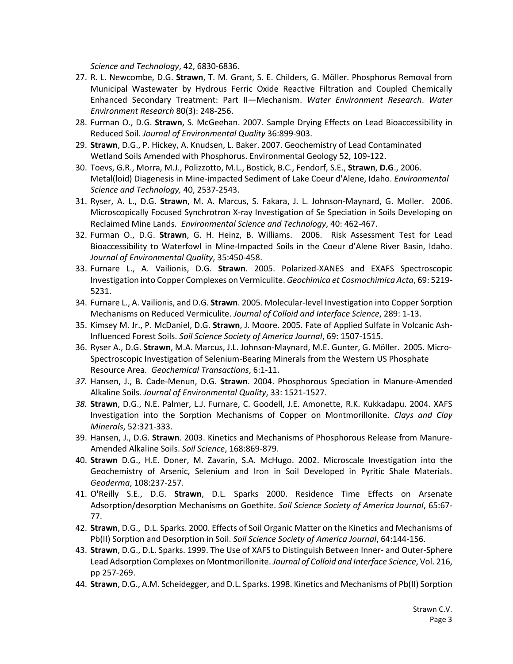*Science and Technology*, 42, 6830-6836.

- 27. R. L. Newcombe, D.G. **Strawn**, T. M. Grant, S. E. Childers, G. Möller. Phosphorus Removal from Municipal Wastewater by Hydrous Ferric Oxide Reactive Filtration and Coupled Chemically Enhanced Secondary Treatment: Part II—Mechanism. *Water Environment Research*. *Water Environment Research* 80(3): 248-256.
- 28. Furman O., D.G. **Strawn**, S. McGeehan. 2007. Sample Drying Effects on Lead Bioaccessibility in Reduced Soil. *Journal of Environmental Quality* 36:899-903.
- 29. **Strawn**, D.G., P. Hickey, A. Knudsen, L. Baker. 2007. Geochemistry of Lead Contaminated Wetland Soils Amended with Phosphorus. Environmental Geology 52, 109-122.
- 30. Toevs, G.R., Morra, M.J., Polizzotto, M.L., Bostick, B.C., Fendorf, S.E., **Strawn**, **D.G**., 2006. Metal(loid) Diagenesis in Mine-impacted Sediment of Lake Coeur d'Alene, Idaho. *Environmental Science and Technology,* 40, 2537-2543.
- 31. Ryser, A. L., D.G. **Strawn**, M. A. Marcus, S. Fakara, J. L. Johnson-Maynard, G. Moller. 2006. Microscopically Focused Synchrotron X-ray Investigation of Se Speciation in Soils Developing on Reclaimed Mine Lands. *Environmental Science and Technology*, 40: 462-467.
- 32. Furman O., D.G. **Strawn**, G. H. Heinz, B. Williams. 2006. Risk Assessment Test for Lead Bioaccessibility to Waterfowl in Mine-Impacted Soils in the Coeur d'Alene River Basin, Idaho. *Journal of Environmental Quality*, 35:450-458.
- 33. Furnare L., A. Vailionis, D.G. **Strawn**. 2005. Polarized-XANES and EXAFS Spectroscopic Investigation into Copper Complexes on Vermiculite. *Geochimica et Cosmochimica Acta*, 69: 5219- 5231.
- 34. Furnare L., A. Vailionis, and D.G. **Strawn**. 2005. Molecular-level Investigation into Copper Sorption Mechanisms on Reduced Vermiculite. *Journal of Colloid and Interface Science*, 289: 1-13.
- 35. Kimsey M. Jr., P. McDaniel, D.G. **Strawn**, J. Moore. 2005. Fate of Applied Sulfate in Volcanic Ash-Influenced Forest Soils. *Soil Science Society of America Journal*, 69: 1507-1515.
- 36. Ryser A., D.G. **Strawn**, M.A. Marcus, J.L. Johnson-Maynard, M.E. Gunter, G. Möller. 2005. Micro-Spectroscopic Investigation of Selenium-Bearing Minerals from the Western US Phosphate Resource Area. *Geochemical Transactions*, 6:1-11.
- *37.* Hansen, J., B. Cade-Menun, D.G. **Strawn**. 2004. Phosphorous Speciation in Manure-Amended Alkaline Soils. *Journal of Environmental Quality*, 33: 1521-1527.
- *38.* **Strawn**, D.G., N.E. Palmer, L.J. Furnare, C. Goodell, J.E. Amonette, R.K. Kukkadapu. 2004. XAFS Investigation into the Sorption Mechanisms of Copper on Montmorillonite. *Clays and Clay Minerals*, 52:321-333.
- 39. Hansen, J., D.G. **Strawn**. 2003. Kinetics and Mechanisms of Phosphorous Release from Manure-Amended Alkaline Soils. *Soil Science*, 168:869-879.
- 40. **Strawn** D.G., H.E. Doner, M. Zavarin, S.A. McHugo. 2002. Microscale Investigation into the Geochemistry of Arsenic, Selenium and Iron in Soil Developed in Pyritic Shale Materials. *Geoderma*, 108:237-257.
- 41. O'Reilly S.E., D.G. **Strawn**, D.L. Sparks 2000. Residence Time Effects on Arsenate Adsorption/desorption Mechanisms on Goethite. *Soil Science Society of America Journal*, 65:67- 77.
- 42. **Strawn**, D.G., D.L. Sparks. 2000. Effects of Soil Organic Matter on the Kinetics and Mechanisms of Pb(II) Sorption and Desorption in Soil. *Soil Science Society of America Journal*, 64:144-156.
- 43. **Strawn**, D.G., D.L. Sparks. 1999. The Use of XAFS to Distinguish Between Inner- and Outer-Sphere Lead Adsorption Complexes on Montmorillonite. *Journal of Colloid and Interface Science*, Vol. 216, pp 257-269.
- 44. **Strawn**, D.G., A.M. Scheidegger, and D.L. Sparks. 1998. Kinetics and Mechanisms of Pb(II) Sorption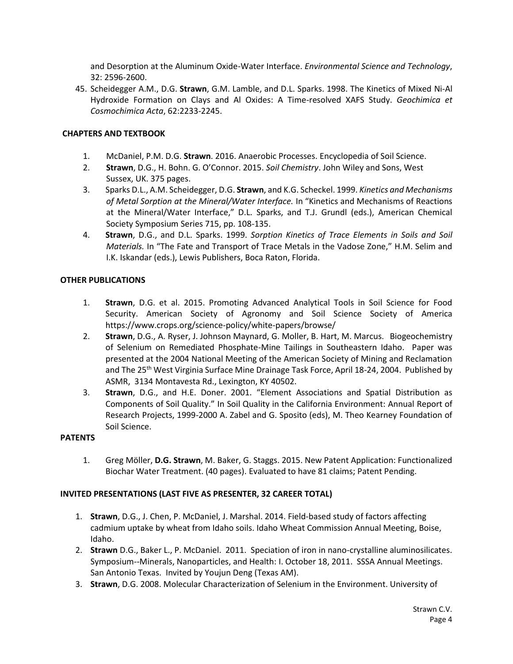and Desorption at the Aluminum Oxide-Water Interface. *Environmental Science and Technology*, 32: 2596-2600.

45. Scheidegger A.M., D.G. **Strawn**, G.M. Lamble, and D.L. Sparks. 1998. The Kinetics of Mixed Ni-Al Hydroxide Formation on Clays and Al Oxides: A Time-resolved XAFS Study. *Geochimica et Cosmochimica Acta*, 62:2233-2245.

## **CHAPTERS AND TEXTBOOK**

- 1. McDaniel, P.M. D.G. **Strawn**. 2016. Anaerobic Processes. Encyclopedia of Soil Science.
- 2. **Strawn**, D.G., H. Bohn. G. O'Connor. 2015. *Soil Chemistry*. John Wiley and Sons, West Sussex, UK. 375 pages.
- 3. Sparks D.L., A.M. Scheidegger, D.G. **Strawn**, and K.G. Scheckel. 1999. *Kinetics and Mechanisms of Metal Sorption at the Mineral/Water Interface.* In "Kinetics and Mechanisms of Reactions at the Mineral/Water Interface," D.L. Sparks, and T.J. Grundl (eds.), American Chemical Society Symposium Series 715, pp. 108-135.
- 4. **Strawn**, D.G., and D.L. Sparks. 1999. *Sorption Kinetics of Trace Elements in Soils and Soil Materials.* In "The Fate and Transport of Trace Metals in the Vadose Zone," H.M. Selim and I.K. Iskandar (eds.), Lewis Publishers, Boca Raton, Florida.

## **OTHER PUBLICATIONS**

- 1. **Strawn**, D.G. et al. 2015. Promoting Advanced Analytical Tools in Soil Science for Food Security. American Society of Agronomy and Soil Science Society of America https://www.crops.org/science-policy/white-papers/browse/
- 2. **Strawn**, D.G., A. Ryser, J. Johnson Maynard, G. Moller, B. Hart, M. Marcus. Biogeochemistry of Selenium on Remediated Phosphate-Mine Tailings in Southeastern Idaho. Paper was presented at the 2004 National Meeting of the American Society of Mining and Reclamation and The 25<sup>th</sup> West Virginia Surface Mine Drainage Task Force, April 18-24, 2004. Published by ASMR, 3134 Montavesta Rd., Lexington, KY 40502.
- 3. **Strawn**, D.G., and H.E. Doner. 2001. "Element Associations and Spatial Distribution as Components of Soil Quality." In Soil Quality in the California Environment: Annual Report of Research Projects, 1999-2000 A. Zabel and G. Sposito (eds), M. Theo Kearney Foundation of Soil Science.

## **PATENTS**

1. Greg Möller, **D.G. Strawn**, M. Baker, G. Staggs. 2015. New Patent Application: Functionalized Biochar Water Treatment. (40 pages). Evaluated to have 81 claims; Patent Pending.

## **INVITED PRESENTATIONS (LAST FIVE AS PRESENTER, 32 CAREER TOTAL)**

- 1. **Strawn**, D.G., J. Chen, P. McDaniel, J. Marshal. 2014. Field-based study of factors affecting cadmium uptake by wheat from Idaho soils. Idaho Wheat Commission Annual Meeting, Boise, Idaho.
- 2. **Strawn** D.G., Baker L., P. McDaniel. 2011. Speciation of iron in nano-crystalline aluminosilicates. Symposium--Minerals, Nanoparticles, and Health: I. October 18, 2011. SSSA Annual Meetings. San Antonio Texas. Invited by Youjun Deng (Texas AM).
- 3. **Strawn**, D.G. 2008. Molecular Characterization of Selenium in the Environment. University of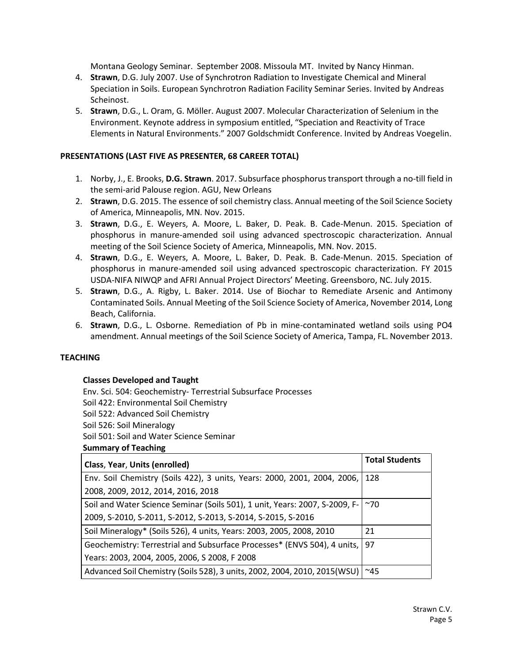Montana Geology Seminar. September 2008. Missoula MT. Invited by Nancy Hinman.

- 4. **Strawn**, D.G. July 2007. Use of Synchrotron Radiation to Investigate Chemical and Mineral Speciation in Soils. European Synchrotron Radiation Facility Seminar Series. Invited by Andreas Scheinost.
- 5. **Strawn**, D.G., L. Oram, G. Möller. August 2007. Molecular Characterization of Selenium in the Environment. Keynote address in symposium entitled, "Speciation and Reactivity of Trace Elements in Natural Environments." 2007 Goldschmidt Conference. Invited by Andreas Voegelin.

## **PRESENTATIONS (LAST FIVE AS PRESENTER, 68 CAREER TOTAL)**

- 1. Norby, J., E. Brooks, **D.G. Strawn**. 2017. Subsurface phosphorus transport through a no-till field in the semi-arid Palouse region. AGU, New Orleans
- 2. **Strawn**, D.G. 2015. The essence of soil chemistry class. Annual meeting of the Soil Science Society of America, Minneapolis, MN. Nov. 2015.
- 3. **Strawn**, D.G., E. Weyers, A. Moore, L. Baker, D. Peak. B. Cade-Menun. 2015. Speciation of phosphorus in manure-amended soil using advanced spectroscopic characterization. Annual meeting of the Soil Science Society of America, Minneapolis, MN. Nov. 2015.
- 4. **Strawn**, D.G., E. Weyers, A. Moore, L. Baker, D. Peak. B. Cade-Menun. 2015. Speciation of phosphorus in manure-amended soil using advanced spectroscopic characterization. FY 2015 USDA-NIFA NIWQP and AFRI Annual Project Directors' Meeting. Greensboro, NC. July 2015.
- 5. **Strawn**, D.G., A. Rigby, L. Baker. 2014. Use of Biochar to Remediate Arsenic and Antimony Contaminated Soils. Annual Meeting of the Soil Science Society of America, November 2014, Long Beach, California.
- 6. **Strawn**, D.G., L. Osborne. Remediation of Pb in mine-contaminated wetland soils using PO4 amendment. Annual meetings of the Soil Science Society of America, Tampa, FL. November 2013.

## **TEACHING**

## **Classes Developed and Taught**

Env. Sci. 504: Geochemistry- Terrestrial Subsurface Processes

Soil 422: Environmental Soil Chemistry

Soil 522: Advanced Soil Chemistry

Soil 526: Soil Mineralogy

Soil 501: Soil and Water Science Seminar

**Summary of Teaching**

| Class, Year, Units (enrolled)                                                | <b>Total Students</b> |
|------------------------------------------------------------------------------|-----------------------|
| Env. Soil Chemistry (Soils 422), 3 units, Years: 2000, 2001, 2004, 2006, 128 |                       |
| 2008, 2009, 2012, 2014, 2016, 2018                                           |                       |
| Soil and Water Science Seminar (Soils 501), 1 unit, Years: 2007, S-2009, F-  | $~1$ 70               |
| 2009, S-2010, S-2011, S-2012, S-2013, S-2014, S-2015, S-2016                 |                       |
| Soil Mineralogy* (Soils 526), 4 units, Years: 2003, 2005, 2008, 2010         | 21                    |
| Geochemistry: Terrestrial and Subsurface Processes* (ENVS 504), 4 units,     | 97                    |
| Years: 2003, 2004, 2005, 2006, S 2008, F 2008                                |                       |
| Advanced Soil Chemistry (Soils 528), 3 units, 2002, 2004, 2010, 2015(WSU)    | $^{\sim}45$           |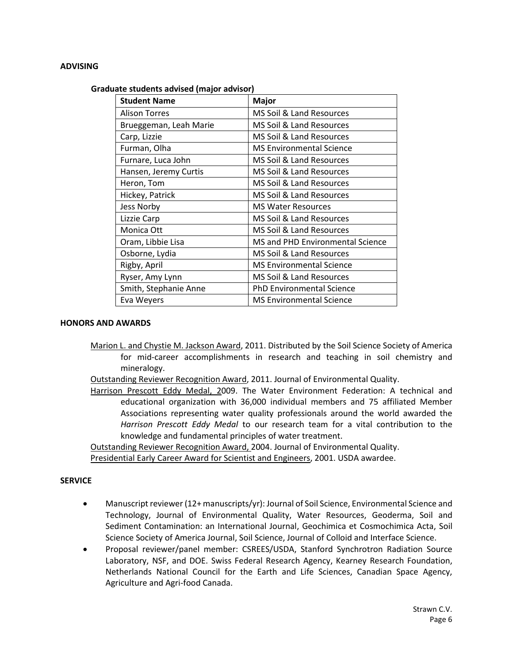#### **ADVISING**

#### **Graduate students advised (major advisor)**

| <b>Student Name</b>    | <b>Major</b>                     |
|------------------------|----------------------------------|
| <b>Alison Torres</b>   | MS Soil & Land Resources         |
| Brueggeman, Leah Marie | MS Soil & Land Resources         |
| Carp, Lizzie           | MS Soil & Land Resources         |
| Furman, Olha           | <b>MS Environmental Science</b>  |
| Furnare, Luca John     | MS Soil & Land Resources         |
| Hansen, Jeremy Curtis  | MS Soil & Land Resources         |
| Heron, Tom             | MS Soil & Land Resources         |
| Hickey, Patrick        | MS Soil & Land Resources         |
| Jess Norby             | <b>MS Water Resources</b>        |
| Lizzie Carp            | MS Soil & Land Resources         |
| Monica Ott             | MS Soil & Land Resources         |
| Oram, Libbie Lisa      | MS and PHD Environmental Science |
| Osborne, Lydia         | MS Soil & Land Resources         |
| Rigby, April           | <b>MS Environmental Science</b>  |
| Ryser, Amy Lynn        | MS Soil & Land Resources         |
| Smith, Stephanie Anne  | <b>PhD Environmental Science</b> |
| Eva Weyers             | <b>MS Environmental Science</b>  |

#### **HONORS AND AWARDS**

- Marion L. and Chystie M. Jackson Award, 2011. Distributed by the Soil Science Society of America for mid-career accomplishments in research and teaching in soil chemistry and mineralogy.
- Outstanding Reviewer Recognition Award, 2011. Journal of Environmental Quality.
- Harrison Prescott Eddy Medal, 2009. The Water Environment Federation: A technical and educational organization with 36,000 individual members and 75 affiliated Member Associations representing water quality professionals around the world awarded the *Harrison Prescott Eddy Medal* to our research team for a vital contribution to the knowledge and fundamental principles of water treatment.

Outstanding Reviewer Recognition Award, 2004. Journal of Environmental Quality.

Presidential Early Career Award for Scientist and Engineers, 2001. USDA awardee.

#### **SERVICE**

- Manuscript reviewer (12+ manuscripts/yr): Journal of Soil Science, Environmental Science and Technology, Journal of Environmental Quality, Water Resources, Geoderma, Soil and Sediment Contamination: an International Journal, Geochimica et Cosmochimica Acta, Soil Science Society of America Journal, Soil Science, Journal of Colloid and Interface Science.
- Proposal reviewer/panel member: CSREES/USDA, Stanford Synchrotron Radiation Source Laboratory, NSF, and DOE. Swiss Federal Research Agency, Kearney Research Foundation, Netherlands National Council for the Earth and Life Sciences, Canadian Space Agency, Agriculture and Agri-food Canada.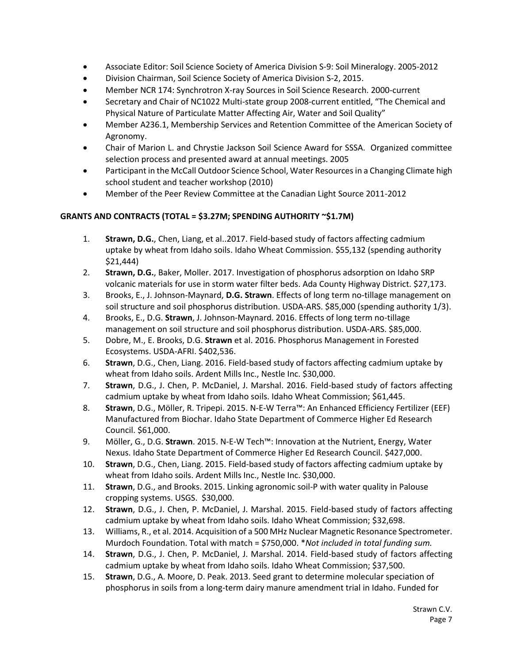- Associate Editor: Soil Science Society of America Division S-9: Soil Mineralogy. 2005-2012
- Division Chairman, Soil Science Society of America Division S-2, 2015.
- Member NCR 174: Synchrotron X-ray Sources in Soil Science Research. 2000-current
- Secretary and Chair of NC1022 Multi-state group 2008-current entitled, "The Chemical and Physical Nature of Particulate Matter Affecting Air, Water and Soil Quality"
- Member A236.1, Membership Services and Retention Committee of the American Society of Agronomy.
- Chair of Marion L. and Chrystie Jackson Soil Science Award for SSSA. Organized committee selection process and presented award at annual meetings. 2005
- Participant in the McCall Outdoor Science School, Water Resources in a Changing Climate high school student and teacher workshop (2010)
- Member of the Peer Review Committee at the Canadian Light Source 2011-2012

## **GRANTS AND CONTRACTS (TOTAL = \$3.27M; SPENDING AUTHORITY ~\$1.7M)**

- 1. **Strawn, D.G.**, Chen, Liang, et al..2017. Field-based study of factors affecting cadmium uptake by wheat from Idaho soils. Idaho Wheat Commission. \$55,132 (spending authority \$21,444)
- 2. **Strawn, D.G.**, Baker, Moller. 2017. Investigation of phosphorus adsorption on Idaho SRP volcanic materials for use in storm water filter beds. Ada County Highway District. \$27,173.
- 3. Brooks, E., J. Johnson-Maynard, **D.G. Strawn**. Effects of long term no-tillage management on soil structure and soil phosphorus distribution. USDA-ARS. \$85,000 (spending authority 1/3).
- 4. Brooks, E., D.G. **Strawn**, J. Johnson-Maynard. 2016. Effects of long term no-tillage management on soil structure and soil phosphorus distribution. USDA-ARS. \$85,000.
- 5. Dobre, M., E. Brooks, D.G. **Strawn** et al. 2016. Phosphorus Management in Forested Ecosystems. USDA-AFRI. \$402,536.
- 6. **Strawn**, D.G., Chen, Liang. 2016. Field-based study of factors affecting cadmium uptake by wheat from Idaho soils. Ardent Mills Inc., Nestle Inc. \$30,000.
- 7. **Strawn**, D.G., J. Chen, P. McDaniel, J. Marshal. 2016. Field-based study of factors affecting cadmium uptake by wheat from Idaho soils. Idaho Wheat Commission; \$61,445.
- 8. **Strawn**, D.G., Möller, R. Tripepi. 2015. N-E-W Terra™: An Enhanced Efficiency Fertilizer (EEF) Manufactured from Biochar. Idaho State Department of Commerce Higher Ed Research Council. \$61,000.
- 9. Möller, G., D.G. **Strawn**. 2015. N-E-W Tech™: Innovation at the Nutrient, Energy, Water Nexus. Idaho State Department of Commerce Higher Ed Research Council. \$427,000.
- 10. **Strawn**, D.G., Chen, Liang. 2015. Field-based study of factors affecting cadmium uptake by wheat from Idaho soils. Ardent Mills Inc., Nestle Inc. \$30,000.
- 11. **Strawn**, D.G., and Brooks. 2015. Linking agronomic soil-P with water quality in Palouse cropping systems. USGS. \$30,000.
- 12. **Strawn**, D.G., J. Chen, P. McDaniel, J. Marshal. 2015. Field-based study of factors affecting cadmium uptake by wheat from Idaho soils. Idaho Wheat Commission; \$32,698.
- 13. Williams, R., et al. 2014. Acquisition of a 500 MHz Nuclear Magnetic Resonance Spectrometer. Murdoch Foundation. Total with match = \$750,000. \**Not included in total funding sum.*
- 14. **Strawn**, D.G., J. Chen, P. McDaniel, J. Marshal. 2014. Field-based study of factors affecting cadmium uptake by wheat from Idaho soils. Idaho Wheat Commission; \$37,500.
- 15. **Strawn**, D.G., A. Moore, D. Peak. 2013. Seed grant to determine molecular speciation of phosphorus in soils from a long-term dairy manure amendment trial in Idaho. Funded for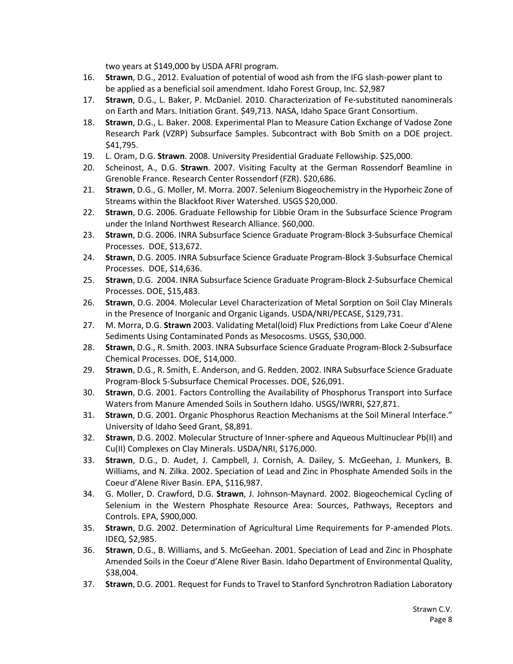two years at \$149,000 by USDA AFRI program.

- 16. **Strawn**, D.G., 2012. Evaluation of potential of wood ash from the IFG slash-power plant to be applied as a beneficial soil amendment. Idaho Forest Group, Inc. \$2,987
- 17. **Strawn**, D.G., L. Baker, P. McDaniel. 2010. Characterization of Fe-substituted nanominerals on Earth and Mars. Initiation Grant. \$49,713. NASA, Idaho Space Grant Consortium.
- 18. **Strawn**, D.G., L. Baker. 2008. Experimental Plan to Measure Cation Exchange of Vadose Zone Research Park (VZRP) Subsurface Samples. Subcontract with Bob Smith on a DOE project. \$41,795.
- 19. L. Oram, D.G. **Strawn**. 2008. University Presidential Graduate Fellowship. \$25,000.
- 20. Scheinost, A., D.G. **Strawn**. 2007. Visiting Faculty at the German Rossendorf Beamline in Grenoble France. Research Center Rossendorf (FZR). \$20,686.
- 21. **Strawn**, D.G., G. Moller, M. Morra. 2007. Selenium Biogeochemistry in the Hyporheic Zone of Streams within the Blackfoot River Watershed. USGS \$20,000.
- 22. **Strawn**, D.G. 2006. Graduate Fellowship for Libbie Oram in the Subsurface Science Program under the Inland Northwest Research Alliance. \$60,000.
- 23. **Strawn**, D.G. 2006. INRA Subsurface Science Graduate Program-Block 3-Subsurface Chemical Processes. DOE, \$13,672.
- 24. **Strawn**, D.G. 2005. INRA Subsurface Science Graduate Program-Block 3-Subsurface Chemical Processes. DOE, \$14,636.
- 25. **Strawn**, D.G. 2004. INRA Subsurface Science Graduate Program-Block 2-Subsurface Chemical Processes. DOE, \$15,483.
- 26. **Strawn**, D.G. 2004. Molecular Level Characterization of Metal Sorption on Soil Clay Minerals in the Presence of Inorganic and Organic Ligands. USDA/NRI/PECASE, \$129,731.
- 27. M. Morra, D.G. **Strawn** 2003. Validating Metal(loid) Flux Predictions from Lake Coeur d'Alene Sediments Using Contaminated Ponds as Mesocosms. USGS, \$30,000.
- 28. **Strawn**, D.G., R. Smith. 2003. INRA Subsurface Science Graduate Program-Block 2-Subsurface Chemical Processes. DOE, \$14,000.
- 29. **Strawn**, D.G., R. Smith, E. Anderson, and G. Redden. 2002. INRA Subsurface Science Graduate Program-Block 5-Subsurface Chemical Processes. DOE, \$26,091.
- 30. **Strawn**, D.G. 2001. Factors Controlling the Availability of Phosphorus Transport into Surface Waters from Manure Amended Soils in Southern Idaho. USGS/IWRRI, \$27,871.
- 31. **Strawn**, D.G. 2001. Organic Phosphorus Reaction Mechanisms at the Soil Mineral Interface." University of Idaho Seed Grant, \$8,891.
- 32. **Strawn**, D.G. 2002. Molecular Structure of Inner-sphere and Aqueous Multinuclear Pb(II) and Cu(II) Complexes on Clay Minerals. USDA/NRI, \$176,000.
- 33. **Strawn**, D.G., D. Audet, J. Campbell, J. Cornish, A. Dailey, S. McGeehan, J. Munkers, B. Williams, and N. Zilka. 2002. Speciation of Lead and Zinc in Phosphate Amended Soils in the Coeur d'Alene River Basin. EPA, \$116,987.
- 34. G. Moller, D. Crawford, D.G. **Strawn**, J. Johnson-Maynard. 2002. Biogeochemical Cycling of Selenium in the Western Phosphate Resource Area: Sources, Pathways, Receptors and Controls. EPA, \$900,000.
- 35. **Strawn**, D.G. 2002. Determination of Agricultural Lime Requirements for P-amended Plots. IDEQ, \$2,985.
- 36. **Strawn**, D.G., B. Williams, and S. McGeehan. 2001. Speciation of Lead and Zinc in Phosphate Amended Soils in the Coeur d'Alene River Basin. Idaho Department of Environmental Quality, \$38,004.
- 37. **Strawn**, D.G. 2001. Request for Funds to Travel to Stanford Synchrotron Radiation Laboratory